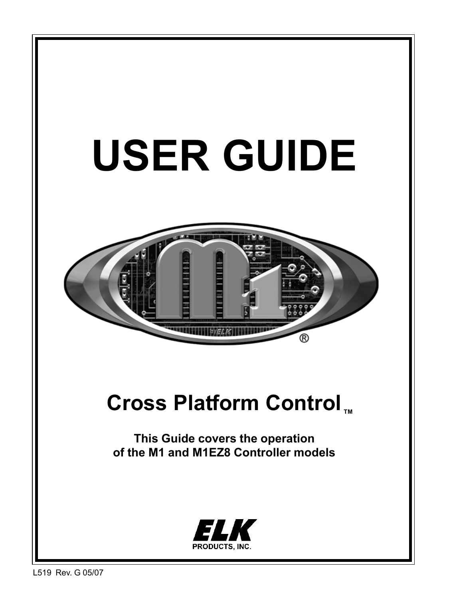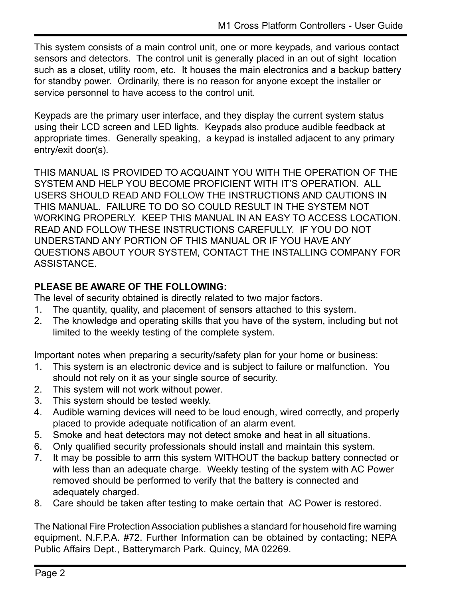This system consists of a main control unit, one or more keypads, and various contact sensors and detectors. The control unit is generally placed in an out of sight location such as a closet, utility room, etc. It houses the main electronics and a backup battery for standby power. Ordinarily, there is no reason for anyone except the installer or service personnel to have access to the control unit.

Keypads are the primary user interface, and they display the current system status using their LCD screen and LED lights. Keypads also produce audible feedback at appropriate times. Generally speaking, a keypad is installed adjacent to any primary entry/exit door(s).

THIS MANUAL IS PROVIDED TO ACQUAINT YOU WITH THE OPERATION OF THE SYSTEM AND HELP YOU BECOME PROFICIENT WITH IT'S OPERATION. ALL USERS SHOULD READ AND FOLLOW THE INSTRUCTIONS AND CAUTIONS IN THIS MANUAL. FAILURE TO DO SO COULD RESULT IN THE SYSTEM NOT WORKING PROPERLY. KEEP THIS MANUAL IN AN EASY TO ACCESS LOCATION. READ AND FOLLOW THESE INSTRUCTIONS CAREFULLY. IF YOU DO NOT UNDERSTAND ANY PORTION OF THIS MANUAL OR IF YOU HAVE ANY QUESTIONS ABOUT YOUR SYSTEM, CONTACT THE INSTALLING COMPANY FOR ASSISTANCE.

#### **PLEASE BE AWARE OF THE FOLLOWING:**

The level of security obtained is directly related to two major factors.

- 1. The quantity, quality, and placement of sensors attached to this system.
- 2. The knowledge and operating skills that you have of the system, including but not limited to the weekly testing of the complete system.

Important notes when preparing a security/safety plan for your home or business:

- 1. This system is an electronic device and is subject to failure or malfunction. You should not rely on it as your single source of security.
- 2. This system will not work without power.
- 3. This system should be tested weekly.
- 4. Audible warning devices will need to be loud enough, wired correctly, and properly placed to provide adequate notification of an alarm event.
- 5. Smoke and heat detectors may not detect smoke and heat in all situations.
- 6. Only qualified security professionals should install and maintain this system.
- 7. It may be possible to arm this system WITHOUT the backup battery connected or with less than an adequate charge. Weekly testing of the system with AC Power removed should be performed to verify that the battery is connected and adequately charged.
- 8. Care should be taken after testing to make certain that AC Power is restored.

The National Fire Protection Association publishes a standard for household fire warning equipment. N.F.P.A. #72. Further Information can be obtained by contacting; NEPA Public Affairs Dept., Batterymarch Park. Quincy, MA 02269.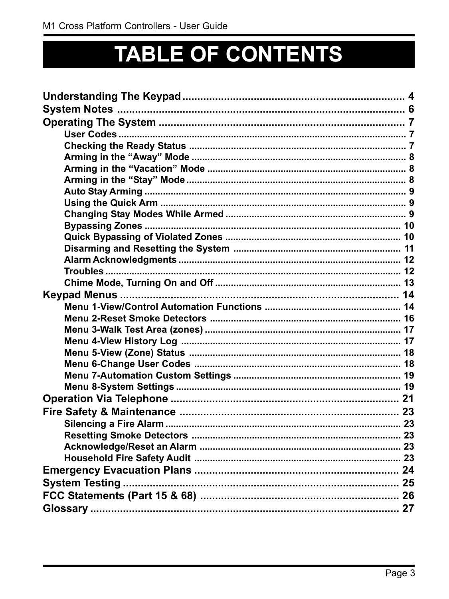# **TABLE OF CONTENTS**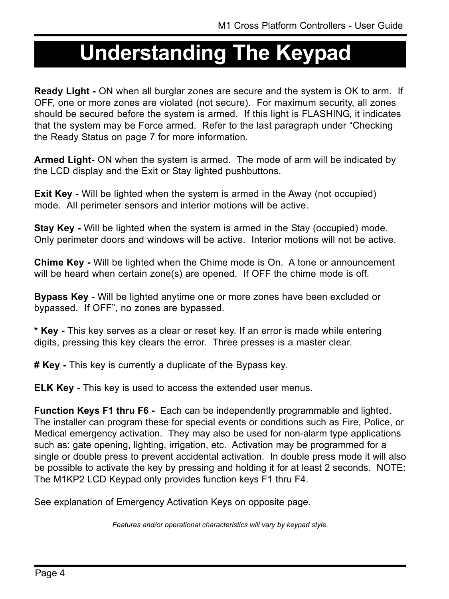## **Understanding The Keypad**

**Ready Light -** ON when all burglar zones are secure and the system is OK to arm. If OFF, one or more zones are violated (not secure). For maximum security, all zones should be secured before the system is armed. If this light is FLASHING, it indicates that the system may be Force armed. Refer to the last paragraph under "Checking" the Ready Status on page 7 for more information.

**Armed Light-** ON when the system is armed. The mode of arm will be indicated by the LCD display and the Exit or Stay lighted pushbuttons.

**Exit Key** - Will be lighted when the system is armed in the Away (not occupied) mode. All perimeter sensors and interior motions will be active.

**Stay Key -** Will be lighted when the system is armed in the Stay (occupied) mode. Only perimeter doors and windows will be active. Interior motions will not be active.

**Chime Key -** Will be lighted when the Chime mode is On. A tone or announcement will be heard when certain zone(s) are opened. If OFF the chime mode is off.

**Bypass Key -** Will be lighted anytime one or more zones have been excluded or bypassed. If OFF", no zones are bypassed.

**\* Key -** This key serves as a clear or reset key. If an error is made while entering digits, pressing this key clears the error. Three presses is a master clear.

**# Key -** This key is currently a duplicate of the Bypass key.

**ELK Key** - This key is used to access the extended user menus.

**Function Keys F1 thru F6 -** Each can be independently programmable and lighted. The installer can program these for special events or conditions such as Fire, Police, or Medical emergency activation. They may also be used for non-alarm type applications such as: gate opening, lighting, irrigation, etc. Activation may be programmed for a single or double press to prevent accidental activation. In double press mode it will also be possible to activate the key by pressing and holding it for at least 2 seconds. NOTE: The M1KP2 LCD Keypad only provides function keys F1 thru F4.

See explanation of Emergency Activation Keys on opposite page.

*Features and/or operational characteristics will vary by keypad style.*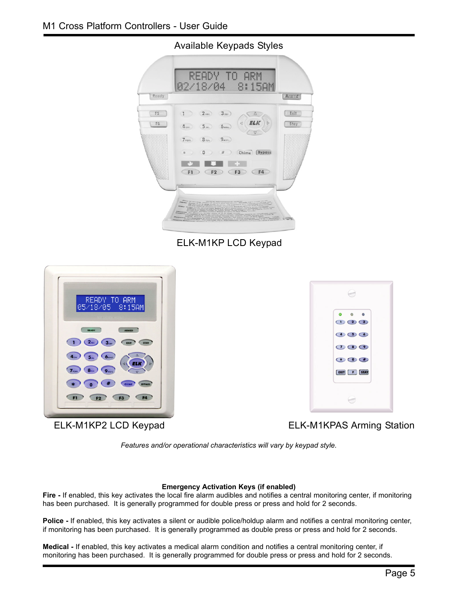Available Keypads Styles



ELK-M1KP LCD Keypad



ELK-M1KP2 LCD Keypad



ELK-M1KPAS Arming Station

*Features and/or operational characteristics will vary by keypad style.*

#### **Emergency Activation Keys (if enabled)**

**Fire -** If enabled, this key activates the local fire alarm audibles and notifies a central monitoring center, if monitoring has been purchased. It is generally programmed for double press or press and hold for 2 seconds.

**Police -** If enabled, this key activates a silent or audible police/holdup alarm and notifies a central monitoring center, if monitoring has been purchased. It is generally programmed as double press or press and hold for 2 seconds.

**Medical -** If enabled, this key activates a medical alarm condition and notifies a central monitoring center, if monitoring has been purchased. It is generally programmed for double press or press and hold for 2 seconds.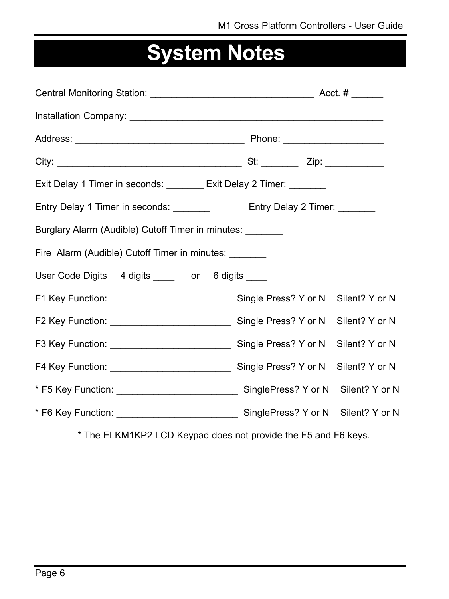## **System Notes**

| Exit Delay 1 Timer in seconds: ________ Exit Delay 2 Timer: _______      |                             |                |
|--------------------------------------------------------------------------|-----------------------------|----------------|
| Entry Delay 1 Timer in seconds: ________                                 | Entry Delay 2 Timer: ______ |                |
| Burglary Alarm (Audible) Cutoff Timer in minutes:                        |                             |                |
| Fire Alarm (Audible) Cutoff Timer in minutes:                            |                             |                |
| User Code Digits 4 digits _____ or 6 digits ____                         |                             |                |
|                                                                          |                             |                |
| F2 Key Function: __________________________________ Single Press? Y or N |                             | Silent? Y or N |
|                                                                          |                             | Silent? Y or N |
|                                                                          |                             | Silent? Y or N |
|                                                                          |                             |                |
|                                                                          |                             |                |

\* The ELKM1KP2 LCD Keypad does not provide the F5 and F6 keys.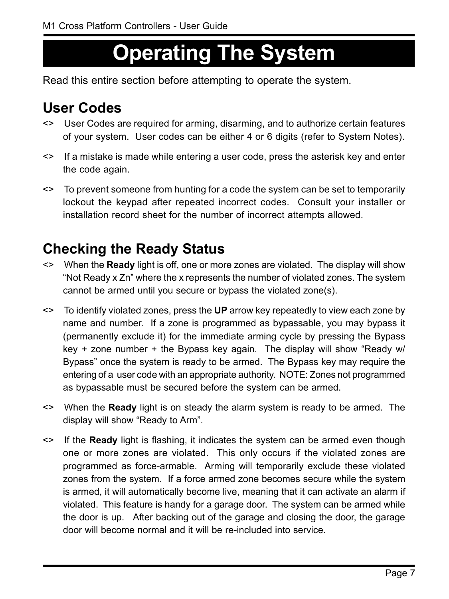## **Operating The System**

Read this entire section before attempting to operate the system.

### **User Codes**

- <> User Codes are required for arming, disarming, and to authorize certain features of your system. User codes can be either 4 or 6 digits (refer to System Notes).
- <> If a mistake is made while entering a user code, press the asterisk key and enter the code again.
- <> To prevent someone from hunting for a code the system can be set to temporarily lockout the keypad after repeated incorrect codes. Consult your installer or installation record sheet for the number of incorrect attempts allowed.

### **Checking the Ready Status**

- <> When the **Ready** light is off, one or more zones are violated. The display will show "Not Ready x Zn" where the x represents the number of violated zones. The system cannot be armed until you secure or bypass the violated zone(s).
- <> To identify violated zones, press the **UP** arrow key repeatedly to view each zone by name and number. If a zone is programmed as bypassable, you may bypass it (permanently exclude it) for the immediate arming cycle by pressing the Bypass key + zone number + the Bypass key again. The display will show "Ready w/ Bypass" once the system is ready to be armed. The Bypass key may require the entering of a user code with an appropriate authority. NOTE: Zones not programmed as bypassable must be secured before the system can be armed.
- <> When the **Ready** light is on steady the alarm system is ready to be armed. The display will show "Ready to Arm".
- <> If the **Ready** light is flashing, it indicates the system can be armed even though one or more zones are violated. This only occurs if the violated zones are programmed as force-armable. Arming will temporarily exclude these violated zones from the system. If a force armed zone becomes secure while the system is armed, it will automatically become live, meaning that it can activate an alarm if violated. This feature is handy for a garage door. The system can be armed while the door is up. After backing out of the garage and closing the door, the garage door will become normal and it will be re-included into service.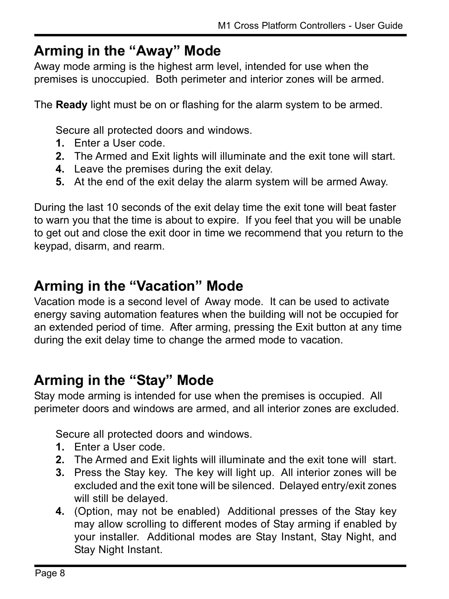#### **Arming in the "Away" Mode**

Away mode arming is the highest arm level, intended for use when the premises is unoccupied. Both perimeter and interior zones will be armed.

The **Ready** light must be on or flashing for the alarm system to be armed.

Secure all protected doors and windows.

- **1.** Enter a User code.
- **2.** The Armed and Exit lights will illuminate and the exit tone will start.
- **4.** Leave the premises during the exit delay.
- **5.** At the end of the exit delay the alarm system will be armed Away.

During the last 10 seconds of the exit delay time the exit tone will beat faster to warn you that the time is about to expire. If you feel that you will be unable to get out and close the exit door in time we recommend that you return to the keypad, disarm, and rearm.

#### **Arming in the "Vacation" Mode**

Vacation mode is a second level of Away mode. It can be used to activate energy saving automation features when the building will not be occupied for an extended period of time. After arming, pressing the Exit button at any time during the exit delay time to change the armed mode to vacation.

#### **Arming in the "Stay" Mode**

Stay mode arming is intended for use when the premises is occupied. All perimeter doors and windows are armed, and all interior zones are excluded.

Secure all protected doors and windows.

- **1.** Enter a User code.
- **2.** The Armed and Exit lights will illuminate and the exit tone will start.
- **3.** Press the Stay key. The key will light up. All interior zones will be excluded and the exit tone will be silenced. Delayed entry/exit zones will still be delayed.
- **4.** (Option, may not be enabled) Additional presses of the Stay key may allow scrolling to different modes of Stay arming if enabled by your installer. Additional modes are Stay Instant, Stay Night, and Stay Night Instant.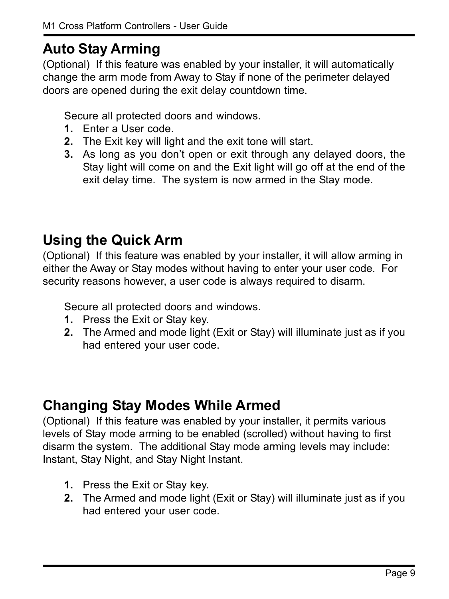### **Auto Stay Arming**

(Optional) If this feature was enabled by your installer, it will automatically change the arm mode from Away to Stay if none of the perimeter delayed doors are opened during the exit delay countdown time.

Secure all protected doors and windows.

- **1.** Enter a User code.
- **2.** The Exit key will light and the exit tone will start.
- **3.** As long as you don't open or exit through any delayed doors, the Stay light will come on and the Exit light will go off at the end of the exit delay time. The system is now armed in the Stay mode.

#### **Using the Quick Arm**

(Optional) If this feature was enabled by your installer, it will allow arming in either the Away or Stay modes without having to enter your user code. For security reasons however, a user code is always required to disarm.

Secure all protected doors and windows.

- **1.** Press the Exit or Stay key.
- **2.** The Armed and mode light (Exit or Stay) will illuminate just as if you had entered your user code.

#### **Changing Stay Modes While Armed**

(Optional) If this feature was enabled by your installer, it permits various levels of Stay mode arming to be enabled (scrolled) without having to first disarm the system. The additional Stay mode arming levels may include: Instant, Stay Night, and Stay Night Instant.

- **1.** Press the Exit or Stay key.
- **2.** The Armed and mode light (Exit or Stay) will illuminate just as if you had entered your user code.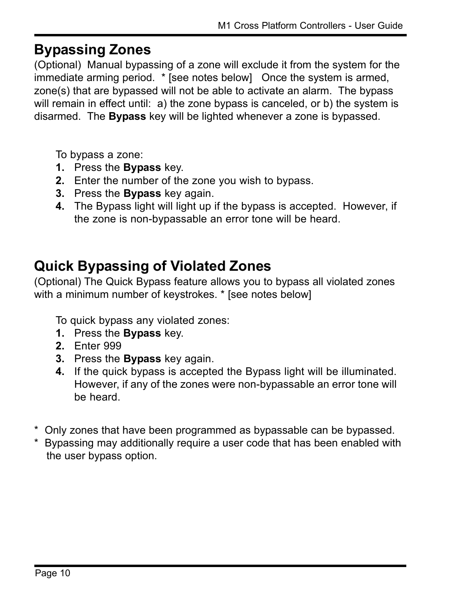#### **Bypassing Zones**

(Optional) Manual bypassing of a zone will exclude it from the system for the immediate arming period. \* [see notes below] Once the system is armed, zone(s) that are bypassed will not be able to activate an alarm. The bypass will remain in effect until: a) the zone bypass is canceled, or b) the system is disarmed. The **Bypass** key will be lighted whenever a zone is bypassed.

To bypass a zone:

- **1.** Press the **Bypass** key.
- **2.** Enter the number of the zone you wish to bypass.
- **3.** Press the **Bypass** key again.
- **4.** The Bypass light will light up if the bypass is accepted. However, if the zone is non-bypassable an error tone will be heard.

### **Quick Bypassing of Violated Zones**

(Optional) The Quick Bypass feature allows you to bypass all violated zones with a minimum number of keystrokes. \* [see notes below]

To quick bypass any violated zones:

- **1.** Press the **Bypass** key.
- **2.** Enter 999
- **3.** Press the **Bypass** key again.
- **4.** If the quick bypass is accepted the Bypass light will be illuminated. However, if any of the zones were non-bypassable an error tone will be heard.
- \* Only zones that have been programmed as bypassable can be bypassed.
- \* Bypassing may additionally require a user code that has been enabled with the user bypass option.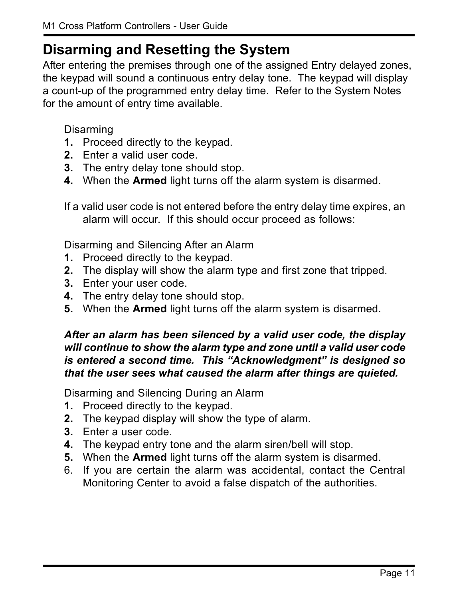#### **Disarming and Resetting the System**

After entering the premises through one of the assigned Entry delayed zones, the keypad will sound a continuous entry delay tone. The keypad will display a count-up of the programmed entry delay time. Refer to the System Notes for the amount of entry time available.

Disarming

- **1.** Proceed directly to the keypad.
- **2.** Enter a valid user code.
- **3.** The entry delay tone should stop.
- **4.** When the **Armed** light turns off the alarm system is disarmed.

If a valid user code is not entered before the entry delay time expires, an alarm will occur. If this should occur proceed as follows:

Disarming and Silencing After an Alarm

- **1.** Proceed directly to the keypad.
- **2.** The display will show the alarm type and first zone that tripped.
- **3.** Enter your user code.
- **4.** The entry delay tone should stop.
- **5.** When the **Armed** light turns off the alarm system is disarmed.

#### *After an alarm has been silenced by a valid user code, the display will continue to show the alarm type and zone until a valid user code is entered a second time. This "Acknowledgment" is designed so that the user sees what caused the alarm after things are quieted.*

Disarming and Silencing During an Alarm

- **1.** Proceed directly to the keypad.
- **2.** The keypad display will show the type of alarm.
- **3.** Enter a user code.
- **4.** The keypad entry tone and the alarm siren/bell will stop.
- **5.** When the **Armed** light turns off the alarm system is disarmed.
- 6. If you are certain the alarm was accidental, contact the Central Monitoring Center to avoid a false dispatch of the authorities.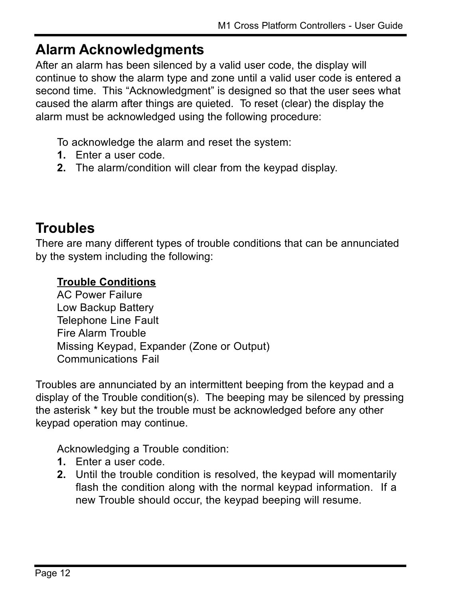#### **Alarm Acknowledgments**

After an alarm has been silenced by a valid user code, the display will continue to show the alarm type and zone until a valid user code is entered a second time. This "Acknowledgment" is designed so that the user sees what caused the alarm after things are quieted. To reset (clear) the display the alarm must be acknowledged using the following procedure:

To acknowledge the alarm and reset the system:

- **1.** Enter a user code.
- **2.** The alarm/condition will clear from the keypad display.

### **Troubles**

There are many different types of trouble conditions that can be annunciated by the system including the following:

#### **Trouble Conditions**

AC Power Failure Low Backup Battery Telephone Line Fault Fire Alarm Trouble Missing Keypad, Expander (Zone or Output) Communications Fail

Troubles are annunciated by an intermittent beeping from the keypad and a display of the Trouble condition(s). The beeping may be silenced by pressing the asterisk \* key but the trouble must be acknowledged before any other keypad operation may continue.

Acknowledging a Trouble condition:

- **1.** Enter a user code.
- **2.** Until the trouble condition is resolved, the keypad will momentarily flash the condition along with the normal keypad information. If a new Trouble should occur, the keypad beeping will resume.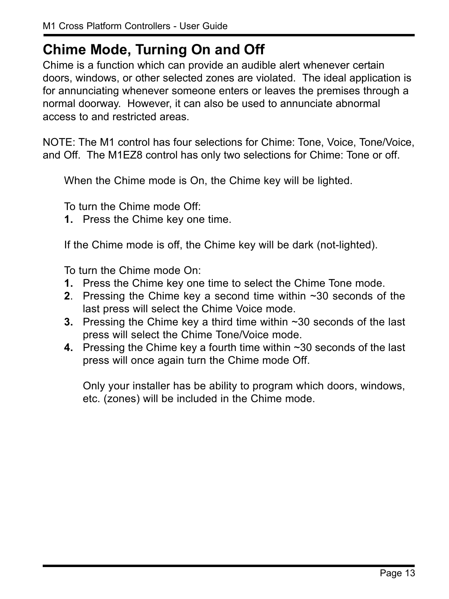#### **Chime Mode, Turning On and Off**

Chime is a function which can provide an audible alert whenever certain doors, windows, or other selected zones are violated. The ideal application is for annunciating whenever someone enters or leaves the premises through a normal doorway. However, it can also be used to annunciate abnormal access to and restricted areas.

NOTE: The M1 control has four selections for Chime: Tone, Voice, Tone/Voice, and Off. The M1EZ8 control has only two selections for Chime: Tone or off.

When the Chime mode is On, the Chime key will be lighted.

To turn the Chime mode Off:

**1.** Press the Chime key one time.

If the Chime mode is off, the Chime key will be dark (not-lighted).

To turn the Chime mode On:

- **1.** Press the Chime key one time to select the Chime Tone mode.
- **2**. Pressing the Chime key a second time within ~30 seconds of the last press will select the Chime Voice mode.
- **3.** Pressing the Chime key a third time within ~30 seconds of the last press will select the Chime Tone/Voice mode.
- **4.** Pressing the Chime key a fourth time within ~30 seconds of the last press will once again turn the Chime mode Off.

Only your installer has be ability to program which doors, windows, etc. (zones) will be included in the Chime mode.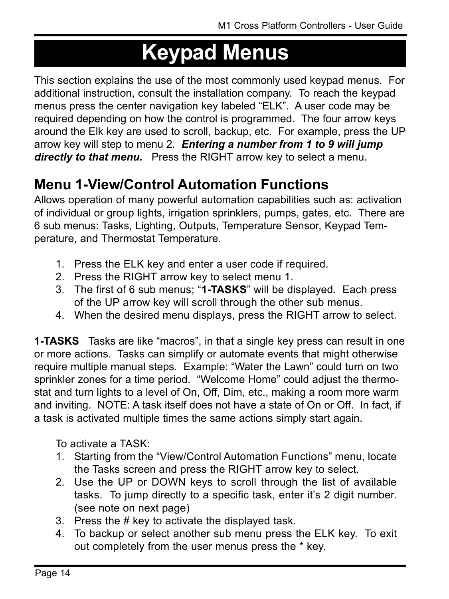## **Keypad Menus**

This section explains the use of the most commonly used keypad menus. For additional instruction, consult the installation company. To reach the keypad menus press the center navigation key labeled "ELK". A user code may be required depending on how the control is programmed. The four arrow keys around the Elk key are used to scroll, backup, etc. For example, press the UP arrow key will step to menu 2. *Entering a number from 1 to 9 will jump directly to that menu.* Press the RIGHT arrow key to select a menu.

### **Menu 1-View/Control Automation Functions**

Allows operation of many powerful automation capabilities such as: activation of individual or group lights, irrigation sprinklers, pumps, gates, etc. There are 6 sub menus: Tasks, Lighting, Outputs, Temperature Sensor, Keypad Temperature, and Thermostat Temperature.

- 1. Press the ELK key and enter a user code if required.
- 2. Press the RIGHT arrow key to select menu 1.
- 3. The first of 6 sub menus; "**1-TASKS**" will be displayed. Each press of the UP arrow key will scroll through the other sub menus.
- 4. When the desired menu displays, press the RIGHT arrow to select.

**1-TASKS** Tasks are like "macros", in that a single key press can result in one or more actions. Tasks can simplify or automate events that might otherwise require multiple manual steps. Example: "Water the Lawn" could turn on two sprinkler zones for a time period. "Welcome Home" could adjust the thermostat and turn lights to a level of On, Off, Dim, etc., making a room more warm and inviting. NOTE: A task itself does not have a state of On or Off. In fact, if a task is activated multiple times the same actions simply start again.

To activate a TASK:

- 1. Starting from the "View/Control Automation Functions" menu, locate the Tasks screen and press the RIGHT arrow key to select.
- 2. Use the UP or DOWN keys to scroll through the list of available tasks. To jump directly to a specific task, enter it's 2 digit number. (see note on next page)
- 3. Press the # key to activate the displayed task.
- 4. To backup or select another sub menu press the ELK key. To exit out completely from the user menus press the \* key.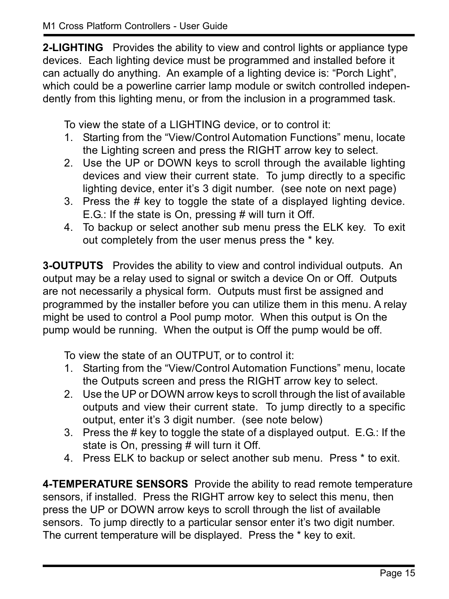**2-LIGHTING** Provides the ability to view and control lights or appliance type devices. Each lighting device must be programmed and installed before it can actually do anything. An example of a lighting device is: "Porch Light", which could be a powerline carrier lamp module or switch controlled independently from this lighting menu, or from the inclusion in a programmed task.

To view the state of a LIGHTING device, or to control it:

- 1. Starting from the "View/Control Automation Functions" menu, locate the Lighting screen and press the RIGHT arrow key to select.
- 2. Use the UP or DOWN keys to scroll through the available lighting devices and view their current state. To jump directly to a specific lighting device, enter it's 3 digit number. (see note on next page)
- 3. Press the # key to toggle the state of a displayed lighting device. E.G.: If the state is On, pressing # will turn it Off.
- 4. To backup or select another sub menu press the ELK key. To exit out completely from the user menus press the \* key.

**3-OUTPUTS** Provides the ability to view and control individual outputs. An output may be a relay used to signal or switch a device On or Off. Outputs are not necessarily a physical form. Outputs must first be assigned and programmed by the installer before you can utilize them in this menu. A relay might be used to control a Pool pump motor. When this output is On the pump would be running. When the output is Off the pump would be off.

To view the state of an OUTPUT, or to control it:

- 1. Starting from the "View/Control Automation Functions" menu, locate the Outputs screen and press the RIGHT arrow key to select.
- 2. Use the UP or DOWN arrow keys to scroll through the list of available outputs and view their current state. To jump directly to a specific output, enter it's 3 digit number. (see note below)
- 3. Press the # key to toggle the state of a displayed output. E.G.: If the state is On, pressing # will turn it Off.
- 4. Press ELK to backup or select another sub menu. Press \* to exit.

**4-TEMPERATURE SENSORS** Provide the ability to read remote temperature sensors, if installed. Press the RIGHT arrow key to select this menu, then press the UP or DOWN arrow keys to scroll through the list of available sensors. To jump directly to a particular sensor enter it's two digit number. The current temperature will be displayed. Press the \* key to exit.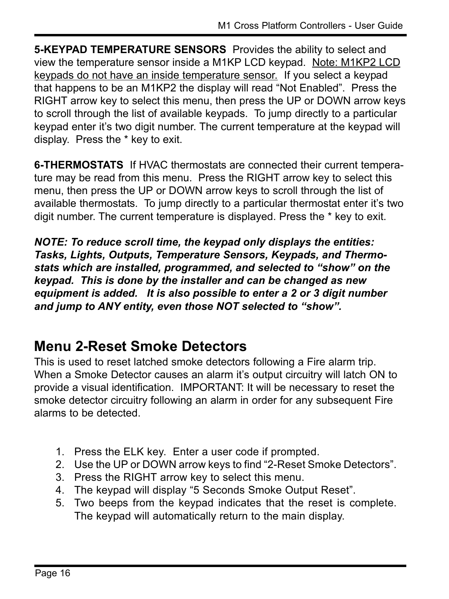**5-KEYPAD TEMPERATURE SENSORS** Provides the ability to select and view the temperature sensor inside a M1KP LCD keypad. Note: M1KP2 LCD keypads do not have an inside temperature sensor. If you select a keypad that happens to be an M1KP2 the display will read "Not Enabled". Press the RIGHT arrow key to select this menu, then press the UP or DOWN arrow keys to scroll through the list of available keypads. To jump directly to a particular keypad enter it's two digit number. The current temperature at the keypad will display. Press the \* key to exit.

**6-THERMOSTATS** If HVAC thermostats are connected their current temperature may be read from this menu. Press the RIGHT arrow key to select this menu, then press the UP or DOWN arrow keys to scroll through the list of available thermostats. To jump directly to a particular thermostat enter it's two digit number. The current temperature is displayed. Press the \* key to exit.

*NOTE: To reduce scroll time, the keypad only displays the entities: Tasks, Lights, Outputs, Temperature Sensors, Keypads, and Thermo*stats which are installed, programmed, and selected to "show" on the *keypad. This is done by the installer and can be changed as new equipment is added. It is also possible to enter a 2 or 3 digit number* and jump to ANY entity, even those NOT selected to "show".

### **Menu 2-Reset Smoke Detectors**

This is used to reset latched smoke detectors following a Fire alarm trip. When a Smoke Detector causes an alarm it's output circuitry will latch ON to provide a visual identification. IMPORTANT: It will be necessary to reset the smoke detector circuitry following an alarm in order for any subsequent Fire alarms to be detected.

- 1. Press the ELK key. Enter a user code if prompted.
- 2. Use the UP or DOWN arrow keys to find "2-Reset Smoke Detectors".
- 3. Press the RIGHT arrow key to select this menu.
- 4. The keypad will display "5 Seconds Smoke Output Reset".
- 5. Two beeps from the keypad indicates that the reset is complete. The keypad will automatically return to the main display.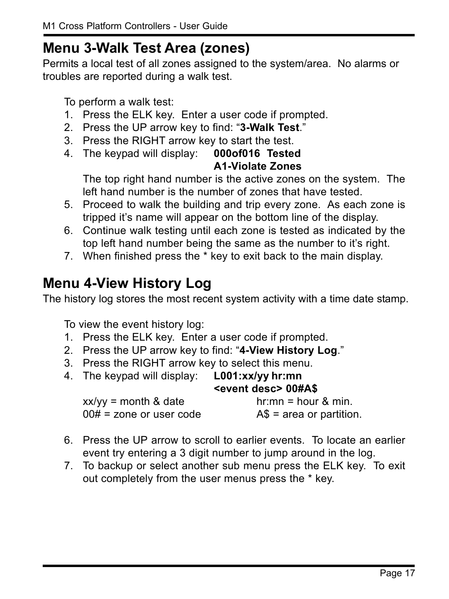#### **Menu 3-Walk Test Area (zones)**

Permits a local test of all zones assigned to the system/area. No alarms or troubles are reported during a walk test.

To perform a walk test:

- 1. Press the ELK key. Enter a user code if prompted.
- 2. Press the UP arrow key to find: "3-Walk Test."
- 3. Press the RIGHT arrow key to start the test.
- 4. The keypad will display: **000of016 Tested A1-Violate Zones**

The top right hand number is the active zones on the system. The left hand number is the number of zones that have tested.

- 5. Proceed to walk the building and trip every zone. As each zone is tripped it's name will appear on the bottom line of the display.
- 6. Continue walk testing until each zone is tested as indicated by the top left hand number being the same as the number to it's right.
- 7. When finished press the \* key to exit back to the main display.

### **Menu 4-View History Log**

The history log stores the most recent system activity with a time date stamp.

To view the event history log:

- 1. Press the ELK key. Enter a user code if prompted.
- 2. Press the UP arrow key to find: "4-View History Log."
- 3. Press the RIGHT arrow key to select this menu.

| 4. The keypad will display:                         | $L001:xx/yy$ hr:mn<br><event desc=""> 00#A\$</event> |
|-----------------------------------------------------|------------------------------------------------------|
| $xx/yy =$ month & date<br>$00#$ = zone or user code | $hr:mn = hour & min.$<br>$AS = area$ or partition.   |

- 6. Press the UP arrow to scroll to earlier events. To locate an earlier event try entering a 3 digit number to jump around in the log.
- 7. To backup or select another sub menu press the ELK key. To exit out completely from the user menus press the \* key.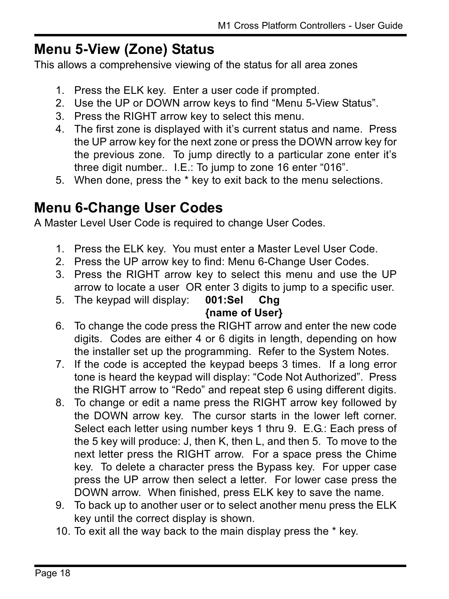#### **Menu 5-View (Zone) Status**

This allows a comprehensive viewing of the status for all area zones

- 1. Press the ELK key. Enter a user code if prompted.
- 2. Use the UP or DOWN arrow keys to find "Menu 5-View Status".
- 3. Press the RIGHT arrow key to select this menu.
- 4. The first zone is displayed with it's current status and name. Press the UP arrow key for the next zone or press the DOWN arrow key for the previous zone. To jump directly to a particular zone enter it's three digit number..  $I.E.:$  To jump to zone 16 enter "016".
- 5. When done, press the \* key to exit back to the menu selections.

#### **Menu 6-Change User Codes**

A Master Level User Code is required to change User Codes.

- 1. Press the ELK key. You must enter a Master Level User Code.
- 2. Press the UP arrow key to find: Menu 6-Change User Codes.
- 3. Press the RIGHT arrow key to select this menu and use the UP arrow to locate a user OR enter 3 digits to jump to a specific user.
- 5. The keypad will display: **001:Sel Chg {name of User}**
- 6. To change the code press the RIGHT arrow and enter the new code digits. Codes are either 4 or 6 digits in length, depending on how the installer set up the programming. Refer to the System Notes.
- 7. If the code is accepted the keypad beeps 3 times. If a long error tone is heard the keypad will display: "Code Not Authorized". Press the RIGHT arrow to "Redo" and repeat step 6 using different digits.
- 8. To change or edit a name press the RIGHT arrow key followed by the DOWN arrow key. The cursor starts in the lower left corner. Select each letter using number keys 1 thru 9. E.G.: Each press of the 5 key will produce: J, then K, then L, and then 5. To move to the next letter press the RIGHT arrow. For a space press the Chime key. To delete a character press the Bypass key. For upper case press the UP arrow then select a letter. For lower case press the DOWN arrow. When finished, press ELK key to save the name.
- 9. To back up to another user or to select another menu press the ELK key until the correct display is shown.
- 10. To exit all the way back to the main display press the \* key.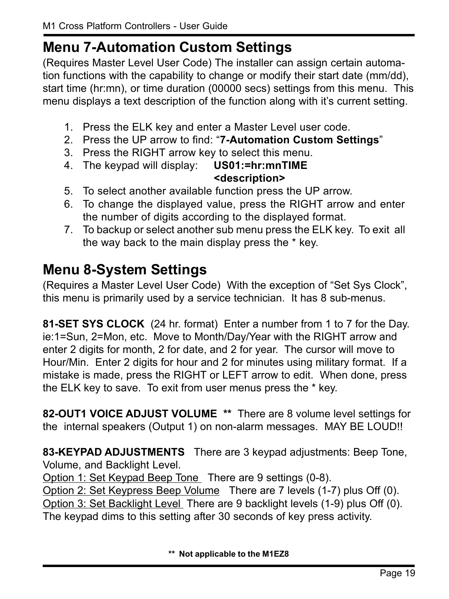#### **Menu 7-Automation Custom Settings**

(Requires Master Level User Code) The installer can assign certain automation functions with the capability to change or modify their start date (mm/dd), start time (hr:mn), or time duration (00000 secs) settings from this menu. This menu displays a text description of the function along with it's current setting.

- 1. Press the ELK key and enter a Master Level user code.
- 2. Press the UP arrow to find: "7-Automation Custom Settings"
- 3. Press the RIGHT arrow key to select this menu.
- 4. The keypad will display: **US01:=hr:mnTIME <description>**
- 5. To select another available function press the UP arrow.
- 6. To change the displayed value, press the RIGHT arrow and enter the number of digits according to the displayed format.
- 7. To backup or select another sub menu press the ELK key. To exit all the way back to the main display press the \* key.

#### **Menu 8-System Settings**

(Requires a Master Level User Code) With the exception of "Set Sys Clock", this menu is primarily used by a service technician. It has 8 sub-menus.

**81-SET SYS CLOCK** (24 hr. format) Enter a number from 1 to 7 for the Day. ie:1=Sun, 2=Mon, etc. Move to Month/Day/Year with the RIGHT arrow and enter 2 digits for month, 2 for date, and 2 for year. The cursor will move to Hour/Min. Enter 2 digits for hour and 2 for minutes using military format. If a mistake is made, press the RIGHT or LEFT arrow to edit. When done, press the ELK key to save. To exit from user menus press the \* key.

**82-OUT1 VOICE ADJUST VOLUME \*\*** There are 8 volume level settings for the internal speakers (Output 1) on non-alarm messages. MAY BE LOUD!!

**83-KEYPAD ADJUSTMENTS** There are 3 keypad adjustments: Beep Tone, Volume, and Backlight Level.

Option 1: Set Keypad Beep Tone There are 9 settings (0-8).

Option 2: Set Keypress Beep Volume There are 7 levels (1-7) plus Off (0). Option 3: Set Backlight Level There are 9 backlight levels (1-9) plus Off (0). The keypad dims to this setting after 30 seconds of key press activity.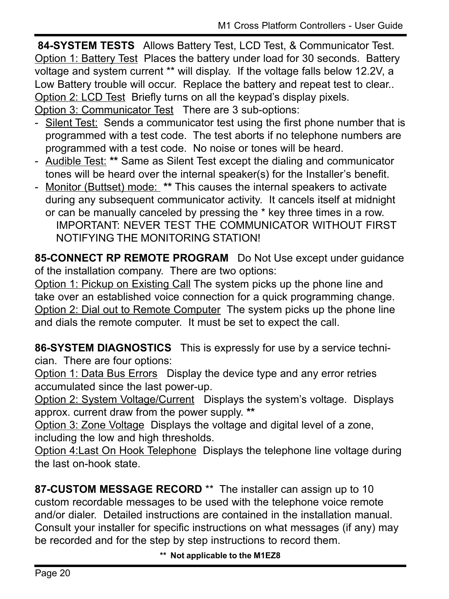**84-SYSTEM TESTS** Allows Battery Test, LCD Test, & Communicator Test. Option 1: Battery Test Places the battery under load for 30 seconds. Battery voltage and system current \*\* will display. If the voltage falls below 12.2V, a Low Battery trouble will occur. Replace the battery and repeat test to clear.. Option 2: LCD Test Briefly turns on all the keypad's display pixels. Option 3: Communicator Test There are 3 sub-options:

- Silent Test: Sends a communicator test using the first phone number that is programmed with a test code. The test aborts if no telephone numbers are programmed with a test code. No noise or tones will be heard.
- Audible Test: **\*\*** Same as Silent Test except the dialing and communicator tones will be heard over the internal speaker(s) for the Installer's benefit.
- Monitor (Buttset) mode: **\*\*** This causes the internal speakers to activate during any subsequent communicator activity. It cancels itself at midnight or can be manually canceled by pressing the \* key three times in a row. IMPORTANT: NEVER TEST THE COMMUNICATOR WITHOUT FIRST NOTIFYING THE MONITORING STATION!

**85-CONNECT RP REMOTE PROGRAM** Do Not Use except under guidance of the installation company. There are two options:

Option 1: Pickup on Existing Call The system picks up the phone line and take over an established voice connection for a quick programming change. Option 2: Dial out to Remote Computer The system picks up the phone line and dials the remote computer. It must be set to expect the call.

**86-SYSTEM DIAGNOSTICS** This is expressly for use by a service technician. There are four options:

Option 1: Data Bus Errors Display the device type and any error retries accumulated since the last power-up.

Option 2: System Voltage/Current Displays the systemís voltage. Displays approx. current draw from the power supply. **\*\***

Option 3: Zone Voltage Displays the voltage and digital level of a zone, including the low and high thresholds.

Option 4:Last On Hook Telephone Displays the telephone line voltage during the last on-hook state.

**87-CUSTOM MESSAGE RECORD** \*\* The installer can assign up to 10 custom recordable messages to be used with the telephone voice remote and/or dialer. Detailed instructions are contained in the installation manual. Consult your installer for specific instructions on what messages (if any) may be recorded and for the step by step instructions to record them.

**\*\* Not applicable to the M1EZ8**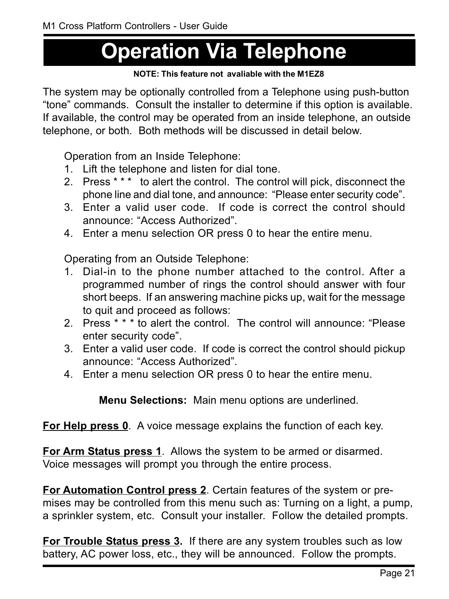## **Operation Via Telephone**

#### **NOTE: This feature not avaliable with the M1EZ8**

The system may be optionally controlled from a Telephone using push-button ìtoneî commands. Consult the installer to determine if this option is available. If available, the control may be operated from an inside telephone, an outside telephone, or both. Both methods will be discussed in detail below.

Operation from an Inside Telephone:

- 1. Lift the telephone and listen for dial tone.
- 2. Press \* \* \* to alert the control. The control will pick, disconnect the phone line and dial tone, and announce: "Please enter security code".
- 3. Enter a valid user code. If code is correct the control should announce: "Access Authorized"
- 4. Enter a menu selection OR press 0 to hear the entire menu.

Operating from an Outside Telephone:

- 1. Dial-in to the phone number attached to the control. After a programmed number of rings the control should answer with four short beeps. If an answering machine picks up, wait for the message to quit and proceed as follows:
- 2. Press \* \* \* to alert the control. The control will announce: "Please enter security code".
- 3. Enter a valid user code. If code is correct the control should pickup announce: "Access Authorized".
- 4. Enter a menu selection OR press 0 to hear the entire menu.

**Menu Selections:** Main menu options are underlined.

**For Help press 0**. A voice message explains the function of each key.

**For Arm Status press 1**. Allows the system to be armed or disarmed. Voice messages will prompt you through the entire process.

**For Automation Control press 2**. Certain features of the system or premises may be controlled from this menu such as: Turning on a light, a pump, a sprinkler system, etc. Consult your installer. Follow the detailed prompts.

**For Trouble Status press 3.** If there are any system troubles such as low battery, AC power loss, etc., they will be announced. Follow the prompts.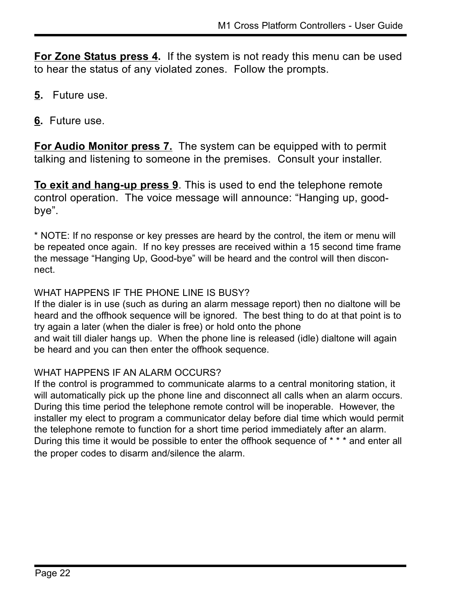**For Zone Status press 4.** If the system is not ready this menu can be used to hear the status of any violated zones. Follow the prompts.

- **5.** Future use.
- **6.** Future use.

**For Audio Monitor press 7.** The system can be equipped with to permit talking and listening to someone in the premises. Consult your installer.

**To exit and hang-up press 9**. This is used to end the telephone remote control operation. The voice message will announce: "Hanging up, goodbye".

\* NOTE: If no response or key presses are heard by the control, the item or menu will be repeated once again. If no key presses are received within a 15 second time frame the message "Hanging Up, Good-bye" will be heard and the control will then disconnect.

#### WHAT HAPPENS IF THE PHONE LINE IS BUSY?

If the dialer is in use (such as during an alarm message report) then no dialtone will be heard and the offhook sequence will be ignored. The best thing to do at that point is to try again a later (when the dialer is free) or hold onto the phone and wait till dialer hangs up. When the phone line is released (idle) dialtone will again be heard and you can then enter the offhook sequence.

#### WHAT HAPPENS IF AN ALARM OCCURS?

If the control is programmed to communicate alarms to a central monitoring station, it will automatically pick up the phone line and disconnect all calls when an alarm occurs. During this time period the telephone remote control will be inoperable. However, the installer my elect to program a communicator delay before dial time which would permit the telephone remote to function for a short time period immediately after an alarm. During this time it would be possible to enter the offhook sequence of \* \* \* and enter all the proper codes to disarm and/silence the alarm.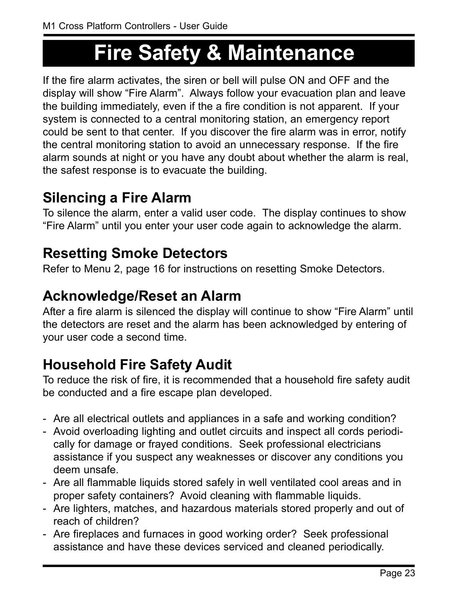### **Fire Safety & Maintenance**

If the fire alarm activates, the siren or bell will pulse ON and OFF and the display will show "Fire Alarm". Always follow your evacuation plan and leave the building immediately, even if the a fire condition is not apparent. If your system is connected to a central monitoring station, an emergency report could be sent to that center. If you discover the fire alarm was in error, notify the central monitoring station to avoid an unnecessary response. If the fire alarm sounds at night or you have any doubt about whether the alarm is real, the safest response is to evacuate the building.

#### **Silencing a Fire Alarm**

To silence the alarm, enter a valid user code. The display continues to show ìFire Alarmî until you enter your user code again to acknowledge the alarm.

#### **Resetting Smoke Detectors**

Refer to Menu 2, page 16 for instructions on resetting Smoke Detectors.

#### **Acknowledge/Reset an Alarm**

After a fire alarm is silenced the display will continue to show "Fire Alarm" until the detectors are reset and the alarm has been acknowledged by entering of your user code a second time.

#### **Household Fire Safety Audit**

To reduce the risk of fire, it is recommended that a household fire safety audit be conducted and a fire escape plan developed.

- Are all electrical outlets and appliances in a safe and working condition?
- Avoid overloading lighting and outlet circuits and inspect all cords periodically for damage or frayed conditions. Seek professional electricians assistance if you suspect any weaknesses or discover any conditions you deem unsafe.
- Are all flammable liquids stored safely in well ventilated cool areas and in proper safety containers? Avoid cleaning with flammable liquids.
- Are lighters, matches, and hazardous materials stored properly and out of reach of children?
- Are fireplaces and furnaces in good working order? Seek professional assistance and have these devices serviced and cleaned periodically.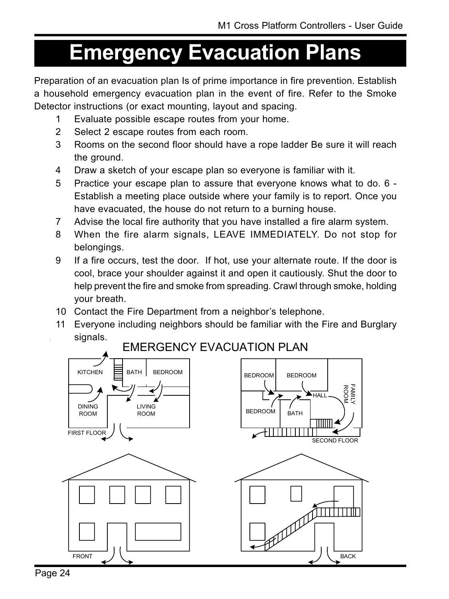### **Emergency Evacuation Plans**

Preparation of an evacuation plan Is of prime importance in fire prevention. Establish a household emergency evacuation plan in the event of fire. Refer to the Smoke Detector instructions (or exact mounting, layout and spacing.

- 1 Evaluate possible escape routes from your home.
- 2 Select 2 escape routes from each room.
- 3 Rooms on the second floor should have a rope ladder Be sure it will reach the ground.
- 4 Draw a sketch of your escape plan so everyone is familiar with it.
- 5 Practice your escape plan to assure that everyone knows what to do. 6 Establish a meeting place outside where your family is to report. Once you have evacuated, the house do not return to a burning house.
- 7 Advise the local fire authority that you have installed a fire alarm system.
- 8 When the fire alarm signals, LEAVE IMMEDIATELY. Do not stop for belongings.
- 9 If a fire occurs, test the door. If hot, use your alternate route. If the door is cool, brace your shoulder against it and open it cautiously. Shut the door to help prevent the fire and smoke from spreading. Crawl through smoke, holding your breath.
- 10 Contact the Fire Department from a neighbor's telephone.
- 11 Everyone including neighbors should be familiar with the Fire and Burglary signals.

EMERGENCY EVACUATION PLAN

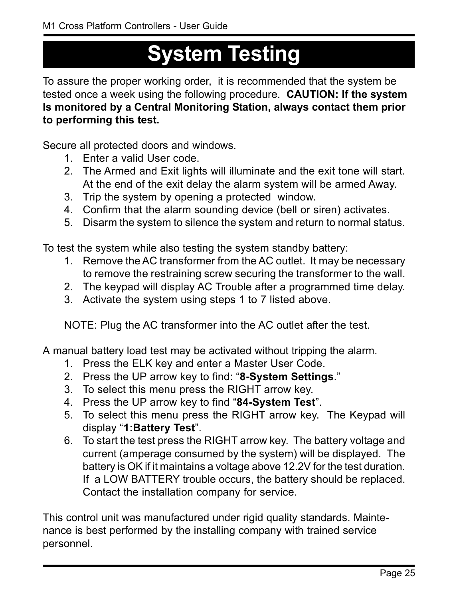### **System Testing**

To assure the proper working order, it is recommended that the system be tested once a week using the following procedure. **CAUTION: If the system Is monitored by a Central Monitoring Station, always contact them prior to performing this test.**

Secure all protected doors and windows.

- 1. Enter a valid User code.
- 2. The Armed and Exit lights will illuminate and the exit tone will start. At the end of the exit delay the alarm system will be armed Away.
- 3. Trip the system by opening a protected window.
- 4. Confirm that the alarm sounding device (bell or siren) activates.
- 5. Disarm the system to silence the system and return to normal status.

To test the system while also testing the system standby battery:

- 1. Remove the AC transformer from the AC outlet. It may be necessary to remove the restraining screw securing the transformer to the wall.
- 2. The keypad will display AC Trouble after a programmed time delay.
- 3. Activate the system using steps 1 to 7 listed above.

NOTE: Plug the AC transformer into the AC outlet after the test.

A manual battery load test may be activated without tripping the alarm.

- 1. Press the ELK key and enter a Master User Code.
- 2. Press the UP arrow key to find: "8-System Settings."
- 3. To select this menu press the RIGHT arrow key.
- 4. Press the UP arrow key to find "84-System Test".
- 5. To select this menu press the RIGHT arrow key. The Keypad will display "1:Battery Test".
- 6. To start the test press the RIGHT arrow key. The battery voltage and current (amperage consumed by the system) will be displayed. The battery is OK if it maintains a voltage above 12.2V for the test duration. If a LOW BATTERY trouble occurs, the battery should be replaced. Contact the installation company for service.

This control unit was manufactured under rigid quality standards. Maintenance is best performed by the installing company with trained service personnel.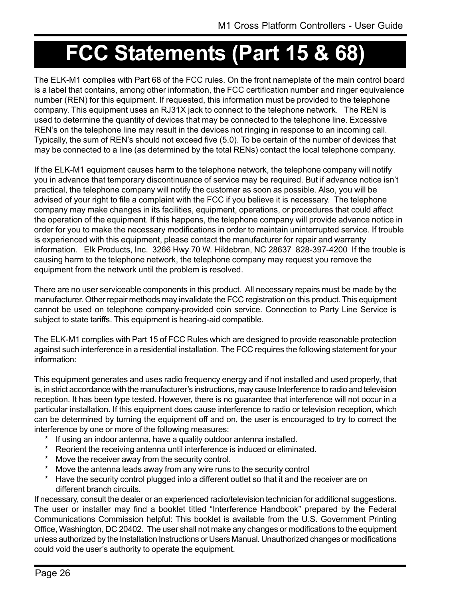## **FCC Statements (Part 15 & 68)**

The ELK-M1 complies with Part 68 of the FCC rules. On the front nameplate of the main control board is a label that contains, among other information, the FCC certification number and ringer equivalence number (REN) for this equipment. If requested, this information must be provided to the telephone company. This equipment uses an RJ31X jack to connect to the telephone network. The REN is used to determine the quantity of devices that may be connected to the telephone line. Excessive REN's on the telephone line may result in the devices not ringing in response to an incoming call. Typically, the sum of REN's should not exceed five (5.0). To be certain of the number of devices that may be connected to a line (as determined by the total RENs) contact the local telephone company.

If the ELK-M1 equipment causes harm to the telephone network, the telephone company will notify you in advance that temporary discontinuance of service may be required. But if advance notice isnít practical, the telephone company will notify the customer as soon as possible. Also, you will be advised of your right to file a complaint with the FCC if you believe it is necessary. The telephone company may make changes in its facilities, equipment, operations, or procedures that could affect the operation of the equipment. If this happens, the telephone company will provide advance notice in order for you to make the necessary modifications in order to maintain uninterrupted service. If trouble is experienced with this equipment, please contact the manufacturer for repair and warranty information. Elk Products, Inc. 3266 Hwy 70 W. Hildebran, NC 28637 828-397-4200 If the trouble is causing harm to the telephone network, the telephone company may request you remove the equipment from the network until the problem is resolved.

There are no user serviceable components in this product. All necessary repairs must be made by the manufacturer. Other repair methods may invalidate the FCC registration on this product. This equipment cannot be used on telephone company-provided coin service. Connection to Party Line Service is subject to state tariffs. This equipment is hearing-aid compatible.

The ELK-M1 complies with Part 15 of FCC Rules which are designed to provide reasonable protection against such interference in a residential installation. The FCC requires the following statement for your information:

This equipment generates and uses radio frequency energy and if not installed and used properly, that is, in strict accordance with the manufacturer's instructions, may cause Interference to radio and television reception. It has been type tested. However, there is no guarantee that interference will not occur in a particular installation. If this equipment does cause interference to radio or television reception, which can be determined by turning the equipment off and on, the user is encouraged to try to correct the interference by one or more of the following measures:

- \* If using an indoor antenna, have a quality outdoor antenna installed.
- \* Reorient the receiving antenna until interference is induced or eliminated.
- Move the receiver away from the security control.
- \* Move the antenna leads away from any wire runs to the security control
- \* Have the security control plugged into a different outlet so that it and the receiver are on different branch circuits.

If necessary, consult the dealer or an experienced radio/television technician for additional suggestions. The user or installer may find a booklet titled "Interference Handbook" prepared by the Federal Communications Commission helpful: This booklet is available from the U.S. Government Printing Office, Washington, DC 20402. The user shall not make any changes or modifications to the equipment unless authorized by the Installation Instructions or Users Manual. Unauthorized changes or modifications could void the user's authority to operate the equipment.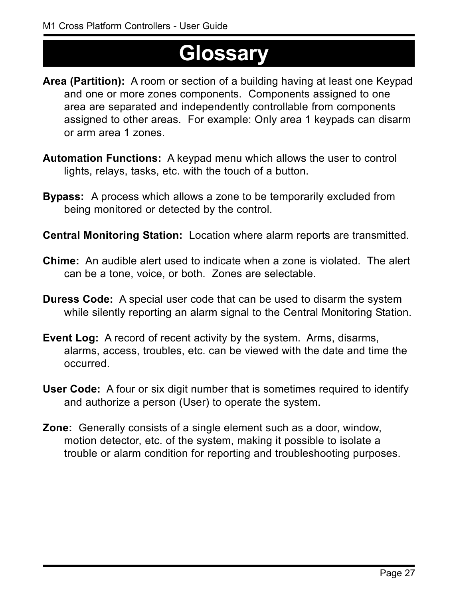### **Glossary**

- **Area (Partition):** A room or section of a building having at least one Keypad and one or more zones components. Components assigned to one area are separated and independently controllable from components assigned to other areas. For example: Only area 1 keypads can disarm or arm area 1 zones.
- **Automation Functions:** A keypad menu which allows the user to control lights, relays, tasks, etc. with the touch of a button.
- **Bypass:** A process which allows a zone to be temporarily excluded from being monitored or detected by the control.
- **Central Monitoring Station:** Location where alarm reports are transmitted.
- **Chime:** An audible alert used to indicate when a zone is violated. The alert can be a tone, voice, or both. Zones are selectable.
- **Duress Code:** A special user code that can be used to disarm the system while silently reporting an alarm signal to the Central Monitoring Station.
- **Event Log:** A record of recent activity by the system. Arms, disarms, alarms, access, troubles, etc. can be viewed with the date and time the occurred.
- **User Code:** A four or six digit number that is sometimes required to identify and authorize a person (User) to operate the system.
- **Zone:** Generally consists of a single element such as a door, window, motion detector, etc. of the system, making it possible to isolate a trouble or alarm condition for reporting and troubleshooting purposes.